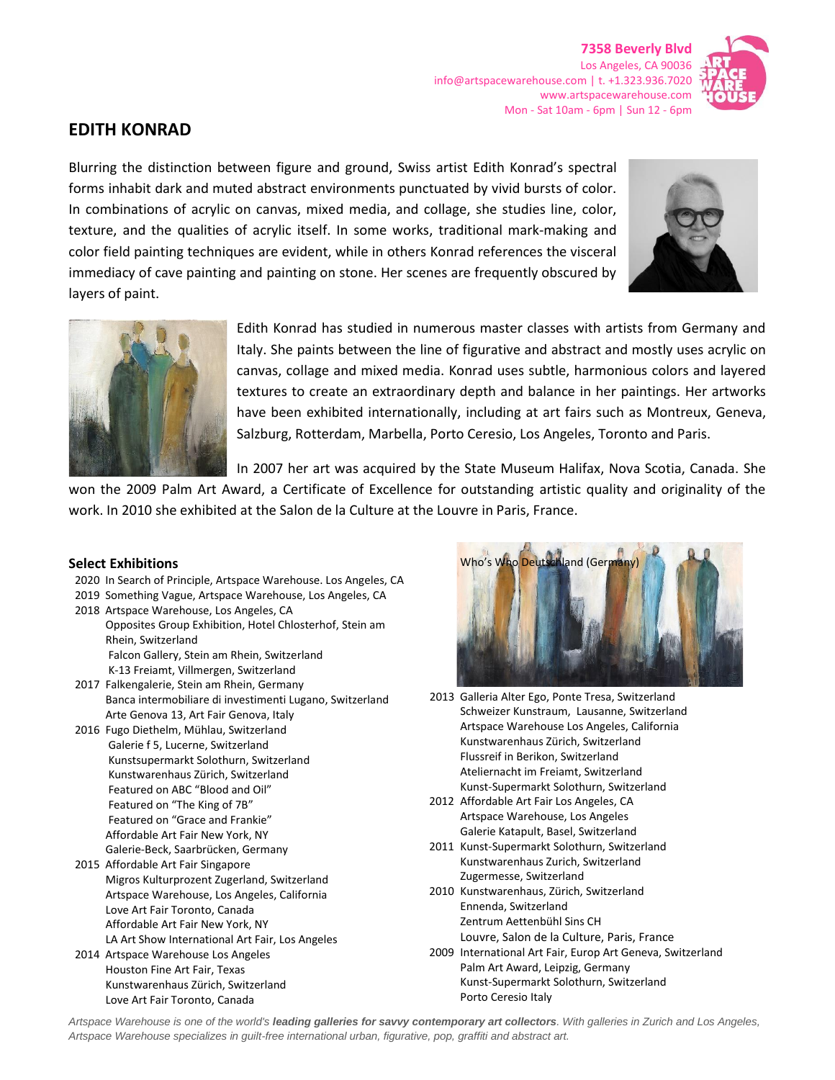**7358 Beverly Blvd** Los Angeles, CA 90036 info@artspacewarehouse.com | t. +1.323.936.7020 www.artspacewarehouse.com Mon - Sat 10am - 6pm | Sun 12 - 6pm



## **EDITH KONRAD**

Blurring the distinction between figure and ground, Swiss artist Edith Konrad's spectral forms inhabit dark and muted abstract environments punctuated by vivid bursts of color. In combinations of acrylic on canvas, mixed media, and collage, she studies line, color, texture, and the qualities of acrylic itself. In some works, traditional mark-making and color field painting techniques are evident, while in others Konrad references the visceral immediacy of cave painting and painting on stone. Her scenes are frequently obscured by layers of paint.





Edith Konrad has studied in numerous master classes with artists from Germany and Italy. She paints between the line of figurative and abstract and mostly uses acrylic on canvas, collage and mixed media. Konrad uses subtle, harmonious colors and layered textures to create an extraordinary depth and balance in her paintings. Her artworks have been exhibited internationally, including at art fairs such as Montreux, Geneva, Salzburg, Rotterdam, Marbella, Porto Ceresio, Los Angeles, Toronto and Paris.

In 2007 her art was acquired by the State Museum Halifax, Nova Scotia, Canada. She

won the 2009 Palm Art Award, a Certificate of Excellence for outstanding artistic quality and originality of the work. In 2010 she exhibited at the Salon de la Culture at the Louvre in Paris, France.

## **Select Exhibitions**

- 2020 In Search of Principle, Artspace Warehouse. Los Angeles, CA
- 2019 Something Vague, Artspace Warehouse, Los Angeles, CA 2018 Artspace Warehouse, Los Angeles, CA Opposites Group Exhibition, Hotel Chlosterhof, Stein am Rhein, Switzerland Falcon Gallery, Stein am Rhein, Switzerland
- K-13 Freiamt, Villmergen, Switzerland 2017 Falkengalerie, Stein am Rhein, Germany Banca intermobiliare di investimenti Lugano, Switzerland Arte Genova 13, Art Fair Genova, Italy
- 2016 Fugo Diethelm, Mühlau, Switzerland Galerie f 5, Lucerne, Switzerland Kunstsupermarkt Solothurn, Switzerland Kunstwarenhaus Zürich, Switzerland Featured on ABC "Blood and Oil" Featured on "The King of 7B" Featured on "Grace and Frankie" Affordable Art Fair New York, NY Galerie-Beck, Saarbrücken, Germany
- 2015 Affordable Art Fair Singapore Migros Kulturprozent Zugerland, Switzerland Artspace Warehouse, Los Angeles, California Love Art Fair Toronto, Canada Affordable Art Fair New York, NY LA Art Show International Art Fair, Los Angeles
- 2014 Artspace Warehouse Los Angeles Houston Fine Art Fair, Texas Kunstwarenhaus Zürich, Switzerland Love Art Fair Toronto, Canada



- 2013 Galleria Alter Ego, Ponte Tresa, Switzerland Schweizer Kunstraum, Lausanne, Switzerland Artspace Warehouse Los Angeles, California Kunstwarenhaus Zürich, Switzerland Flussreif in Berikon, Switzerland Ateliernacht im Freiamt, Switzerland Kunst-Supermarkt Solothurn, Switzerland
- 2012 Affordable Art Fair Los Angeles, CA Artspace Warehouse, Los Angeles Galerie Katapult, Basel, Switzerland
- 2011 Kunst-Supermarkt Solothurn, Switzerland Kunstwarenhaus Zurich, Switzerland Zugermesse, Switzerland
- 2010 Kunstwarenhaus, Zürich, Switzerland Ennenda, Switzerland Zentrum Aettenbühl Sins CH Louvre, Salon de la Culture, Paris, France
- 2009 International Art Fair, Europ Art Geneva, Switzerland Palm Art Award, Leipzig, Germany Kunst-Supermarkt Solothurn, Switzerland Porto Ceresio Italy

*Artspace Warehouse is one of the world's leading galleries for savvy contemporary art collectors. With galleries in Zurich and Los Angeles, Artspace Warehouse specializes in guilt-free international urban, figurative, pop, graffiti and abstract art.*